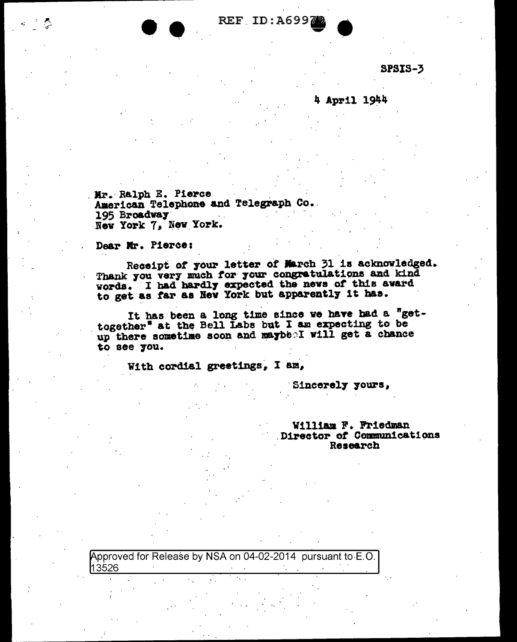REF ID:A6997

SPSIS-3

4 April 1944

Mr. Ralph E. Pierce American Telephone and Telegraph Co. 195 Broadway New York 7, New York.

Dear Mr. Pierce:

Receipt of your letter of March 31 is acknowledged. Thank you very much for your congratulations and kind words. I had hardly expected the news of this award to get as far as New York but apparently it has.

It has been a long time since we have had a "gettogether" at the Bell Labs but I am expecting to be up there sometime soon and maybe I will get a chance to see you.

With cordial greetings, I am,

Sincerely yours,

William F. Friedman Director of Communications Research

Approved for Release by NSA on 04-02-2014 pursuant to E.O. 13526